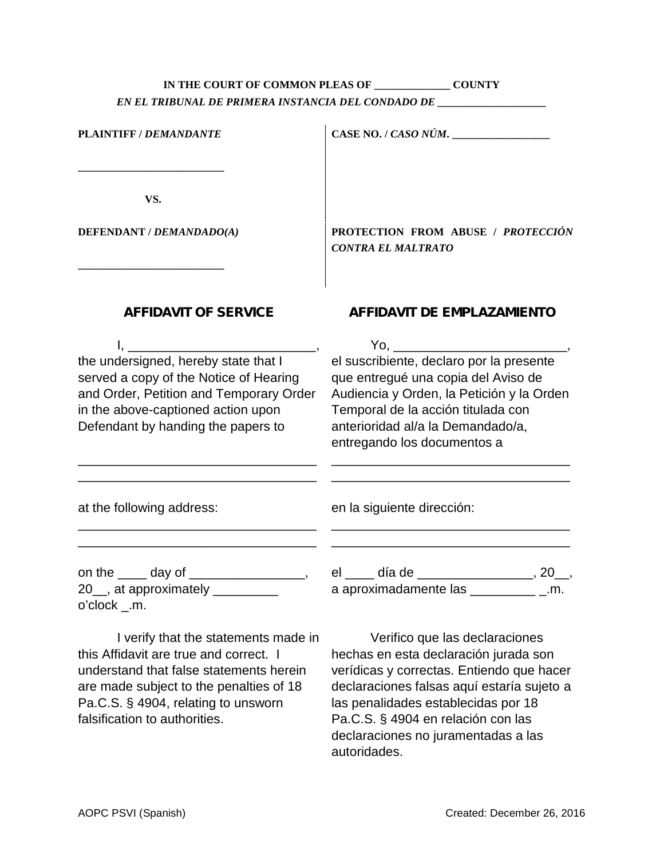## **IN THE COURT OF COMMON PLEAS OF \_\_\_\_\_\_\_\_\_\_\_\_\_\_ COUNTY** *EN EL TRIBUNAL DE PRIMERA INSTANCIA DEL CONDADO DE \_\_\_\_\_\_\_\_\_\_\_\_\_\_\_\_\_\_\_\_*

| <b>PLAINTIFF / DEMANDANTE</b>                                                                                                                                                                         | CASE NO. / CASO NÚM. $\frac{1}{2}$                                                                                                                                                                                                                                                                                                                                                                                                                                      |
|-------------------------------------------------------------------------------------------------------------------------------------------------------------------------------------------------------|-------------------------------------------------------------------------------------------------------------------------------------------------------------------------------------------------------------------------------------------------------------------------------------------------------------------------------------------------------------------------------------------------------------------------------------------------------------------------|
| VS.                                                                                                                                                                                                   |                                                                                                                                                                                                                                                                                                                                                                                                                                                                         |
| DEFENDANT / DEMANDADO(A)                                                                                                                                                                              | <b>PROTECTION FROM ABUSE / PROTECCIÓN</b><br><b>CONTRA EL MALTRATO</b>                                                                                                                                                                                                                                                                                                                                                                                                  |
| <b>AFFIDAVIT OF SERVICE</b>                                                                                                                                                                           | <b>AFFIDAVIT DE EMPLAZAMIENTO</b>                                                                                                                                                                                                                                                                                                                                                                                                                                       |
| the undersigned, hereby state that I<br>served a copy of the Notice of Hearing<br>and Order, Petition and Temporary Order<br>in the above-captioned action upon<br>Defendant by handing the papers to | Yo, and the control of the control of the control of the control of the control of the control of the control of the control of the control of the control of the control of the control of the control of the control of the<br>el suscribiente, declaro por la presente<br>que entregué una copia del Aviso de<br>Audiencia y Orden, la Petición y la Orden<br>Temporal de la acción titulada con<br>anterioridad al/a la Demandado/a,<br>entregando los documentos a |
| at the following address:                                                                                                                                                                             | en la siguiente dirección:<br><u> 1980 - Johann Barbara, margaret eta idazlearia (h. 1980).</u>                                                                                                                                                                                                                                                                                                                                                                         |
| on the $\_\_\_$ day of $\_\_\_\_\_\_\_\_\_$<br>20 <sub>, at approximately</sub><br>o'clock _.m.                                                                                                       | el _____ día de ___________________, 20__,<br>a aproximadamente las _________________.m.                                                                                                                                                                                                                                                                                                                                                                                |
| I verify that the statements made in<br>this $\Delta$ ffidavit are true and correct $\Delta$                                                                                                          | Verifico que las declaraciones<br>hachas an asta daclaración iurada son                                                                                                                                                                                                                                                                                                                                                                                                 |

this Affidavit are true and correct. I understand that false statements herein are made subject to the penalties of 18 Pa.C.S. § 4904, relating to unsworn falsification to authorities.

hechas en esta declaración jurada son verídicas y correctas. Entiendo que hacer declaraciones falsas aquí estaría sujeto a las penalidades establecidas por 18 Pa.C.S. § 4904 en relación con las declaraciones no juramentadas a las autoridades.